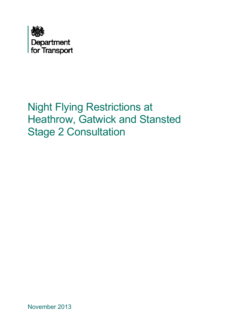<span id="page-0-0"></span>

# Night Flying Restrictions at Heathrow, Gatwick and Stansted Stage 2 Consultation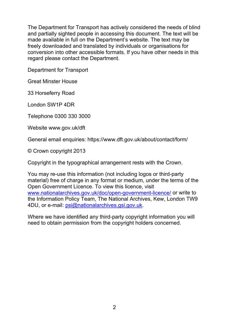The Department for Transport has actively considered the needs of blind and partially sighted people in accessing this document. The text will be made available in full on the Department's website. The text may be freely downloaded and translated by individuals or organisations for conversion into other accessible formats. If you have other needs in this regard please contact the Department.

Department for Transport

Great Minster House

33 Horseferry Road

London SW1P 4DR

Telephone 0300 330 3000

Website www.gov.uk/dft

General email enquiries: https://www.dft.gov.uk/about/contact/form/

© Crown copyright 2013

Copyright in the typographical arrangement rests with the Crown.

You may re-use this information (not including logos or third-party material) free of charge in any format or medium, under the terms of the Open Government Licence. To view this licence, visit [www.nationalarchives.gov.uk/doc/open-government-licence/](http://www.nationalarchives.gov.uk/doc/open-government-licence/) or write to the Information Policy Team, The National Archives, Kew, London TW9 4DU, or e-mail: [psi@nationalarchives.gsi.gov.uk](mailto:psi@nationalarchives.gsi.gov.uk).

Where we have identified any third-party copyright information you will need to obtain permission from the copyright holders concerned.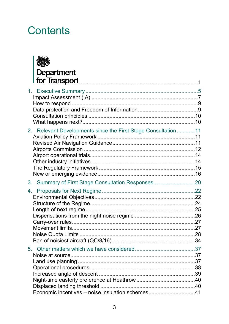# **Contents**



| $1_{-}$                                                        |    |
|----------------------------------------------------------------|----|
| 2. Relevant Developments since the First Stage Consultation 11 |    |
| Summary of First Stage Consultation Responses 20<br>3.         |    |
| 4.                                                             |    |
| 5.<br>Economic incentives - noise insulation schemes41         | 37 |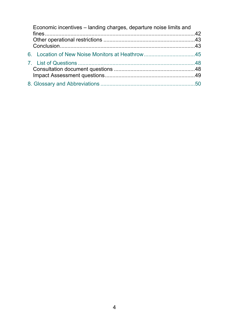| Economic incentives - landing charges, departure noise limits and |  |
|-------------------------------------------------------------------|--|
|                                                                   |  |
|                                                                   |  |
|                                                                   |  |
|                                                                   |  |
|                                                                   |  |
|                                                                   |  |
|                                                                   |  |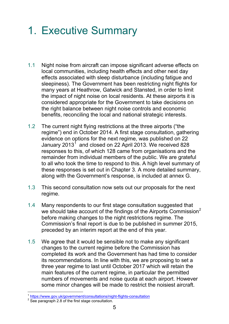# <span id="page-4-0"></span>1. Executive Summary

- 1.1 Night noise from aircraft can impose significant adverse effects on local communities, including health effects and other next day effects associated with sleep disturbance (including fatigue and sleepiness). The Government has been restricting night flights for many years at Heathrow, Gatwick and Stansted, in order to limit the impact of night noise on local residents. At these airports it is considered appropriate for the Government to take decisions on the right balance between night noise controls and economic benefits, reconciling the local and national strategic interests.
- 1.2 The current night flying restrictions at the three airports ("the regime") end in October 2014. A first stage consultation, gathering evidence on options for the next regime, was published on 22 January 20[1](#page-4-1)3<sup>1</sup> and closed on 22 April 2013. We received 828 responses to this, of which 128 came from organisations and the remainder from individual members of the public. We are grateful to all who took the time to respond to this. A high level summary of these responses is set out in Chapter 3. A more detailed summary, along with the Government's response, is included at annex G.
- 1.3 This second consultation now sets out our proposals for the next regime.
- 1.4 Many respondents to our first stage consultation suggested that we should take account of the findings of the Airports Commission<sup>[2](#page-4-2)</sup> before making changes to the night restrictions regime. The Commission's final report is due to be published in summer 2015, preceded by an interim report at the end of this year.
- 1.5 We agree that it would be sensible not to make any significant changes to the current regime before the Commission has completed its work and the Government has had time to consider its recommendations. In line with this, we are proposing to set a three year regime to last until October 2017 which will retain the main features of the current regime, in particular the permitted numbers of movements and noise quota at each airport. However some minor changes will be made to restrict the noisiest aircraft.

 $\overline{a}$ <sup>1</sup> https://www.gov.uk/government/consultations/night-flights-consultation

<span id="page-4-2"></span><span id="page-4-1"></span> $2\overline{2}$  See paragraph 2.8 of the first stage consultation.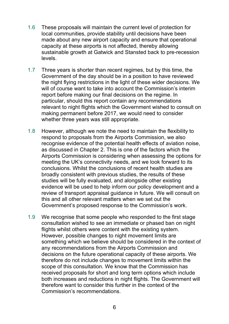- 1.6 These proposals will maintain the current level of protection for local communities, provide stability until decisions have been made about any new airport capacity and ensure that operational capacity at these airports is not affected, thereby allowing sustainable growth at Gatwick and Stansted back to pre-recession levels.
- 1.7 Three years is shorter than recent regimes, but by this time, the Government of the day should be in a position to have reviewed the night flying restrictions in the light of these wider decisions. We will of course want to take into account the Commission's interim report before making our final decisions on the regime. In particular, should this report contain any recommendations relevant to night flights which the Government wished to consult on making permanent before 2017, we would need to consider whether three years was still appropriate.
- 1.8 However, although we note the need to maintain the flexibility to respond to proposals from the Airports Commission, we also recognise evidence of the potential health effects of aviation noise, as discussed in Chapter 2. This is one of the factors which the Airports Commission is considering when assessing the options for meeting the UK's connectivity needs, and we look forward to its conclusions. Whilst the conclusions of recent health studies are broadly consistent with previous studies, the results of these studies will be fully evaluated, and alongside other existing evidence will be used to help inform our policy development and a review of transport appraisal guidance in future. We will consult on this and all other relevant matters when we set out the Government's proposed response to the Commission's work.
- 1.9 We recognise that some people who responded to the first stage consultation wished to see an immediate or phased ban on night flights whilst others were content with the existing system. However, possible changes to night movement limits are something which we believe should be considered in the context of any recommendations from the Airports Commission and decisions on the future operational capacity of these airports. We therefore do not include changes to movement limits within the scope of this consultation. We know that the Commission has received proposals for short and long term options which include both increases and reductions in night flights. The Government will therefore want to consider this further in the context of the Commission's recommendations.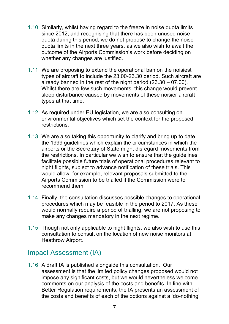- 1.10 Similarly, whilst having regard to the freeze in noise quota limits since 2012, and recognising that there has been unused noise quota during this period, we do not propose to change the noise quota limits in the next three years, as we also wish to await the outcome of the Airports Commission's work before deciding on whether any changes are justified.
- 1.11 We are proposing to extend the operational ban on the noisiest types of aircraft to include the 23.00-23.30 period. Such aircraft are already banned in the rest of the night period (23.30 – 07.00). Whilst there are few such movements, this change would prevent sleep disturbance caused by movements of these noisier aircraft types at that time.
- 1.12 As required under EU legislation, we are also consulting on environmental objectives which set the context for the proposed restrictions.
- 1.13 We are also taking this opportunity to clarify and bring up to date the 1999 guidelines which explain the circumstances in which the airports or the Secretary of State might disregard movements from the restrictions. In particular we wish to ensure that the guidelines facilitate possible future trials of operational procedures relevant to night flights, subject to advance notification of these trials. This would allow, for example, relevant proposals submitted to the Airports Commission to be trialled if the Commission were to recommend them.
- 1.14 Finally, the consultation discusses possible changes to operational procedures which may be feasible in the period to 2017. As these would normally require a period of trialling, we are not proposing to make any changes mandatory in the next regime.
- 1.15 Though not only applicable to night flights, we also wish to use this consultation to consult on the location of new noise monitors at Heathrow Airport.

### <span id="page-6-0"></span>Impact Assessment (IA)

1.16 A draft IA is published alongside this consultation. Our assessment is that the limited policy changes proposed would not impose any significant costs, but we would nevertheless welcome comments on our analysis of the costs and benefits. In line with Better Regulation requirements, the IA presents an assessment of the costs and benefits of each of the options against a 'do-nothing'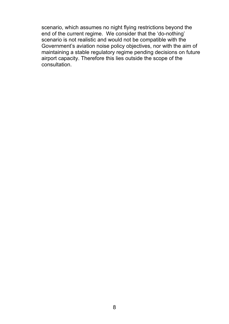scenario, which assumes no night flying restrictions beyond the end of the current regime. We consider that the 'do-nothing' scenario is not realistic and would not be compatible with the Government's aviation noise policy objectives, nor with the aim of maintaining a stable regulatory regime pending decisions on future airport capacity. Therefore this lies outside the scope of the consultation.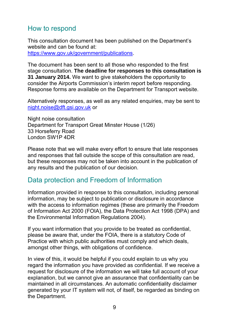## <span id="page-8-0"></span>How to respond

This consultation document has been published on the Department's website and can be found at:

<https://www.gov.uk/government/publications>.

The document has been sent to all those who responded to the first stage consultation. **The deadline for responses to this consultation is 31 January 2014.** We want to give stakeholders the opportunity to consider the Airports Commission's interim report before responding. Response forms are available on the Department for Transport website.

Alternatively responses, as well as any related enquiries, may be sent to [night.noise@dft.gsi.gov.uk](mailto:night.noise@dft.gsi.gov.uk) or

Night noise consultation Department for Transport Great Minster House (1/26) 33 Horseferry Road London SW1P 4DR

Please note that we will make every effort to ensure that late responses and responses that fall outside the scope of this consultation are read, but these responses may not be taken into account in the publication of any results and the publication of our decision.

## <span id="page-8-1"></span>Data protection and Freedom of Information

Information provided in response to this consultation, including personal information, may be subject to publication or disclosure in accordance with the access to information regimes (these are primarily the Freedom of Information Act 2000 (FOIA), the Data Protection Act 1998 (DPA) and the Environmental Information Regulations 2004).

If you want information that you provide to be treated as confidential, please be aware that, under the FOIA, there is a statutory Code of Practice with which public authorities must comply and which deals, amongst other things, with obligations of confidence.

In view of this, it would be helpful if you could explain to us why you regard the information you have provided as confidential. If we receive a request for disclosure of the information we will take full account of your explanation, but we cannot give an assurance that confidentiality can be maintained in all circumstances. An automatic confidentiality disclaimer generated by your IT system will not, of itself, be regarded as binding on the Department.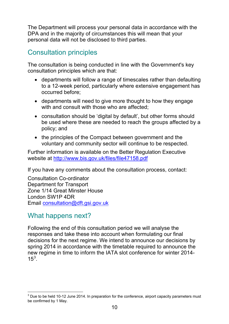The Department will process your personal data in accordance with the DPA and in the majority of circumstances this will mean that your personal data will not be disclosed to third parties.

# <span id="page-9-0"></span>Consultation principles

The consultation is being conducted in line with the Government's key consultation principles which are that:

- departments will follow a range of timescales rather than defaulting to a 12-week period, particularly where extensive engagement has occurred before;
- departments will need to give more thought to how they engage with and consult with those who are affected;
- consultation should be 'digital by default', but other forms should be used where these are needed to reach the groups affected by a policy; and
- the principles of the Compact between government and the voluntary and community sector will continue to be respected.

Further information is available on the Better Regulation Executive website at <http://www.bis.gov.uk/files/file47158.pdf>

If you have any comments about the consultation process, contact:

Consultation Co-ordinator Department for Transport Zone 1/14 Great Minster House London SW1P 4DR Email [consultation@dft.gsi.gov.uk](mailto:consultation@dft.gsi.gov.uk)

# <span id="page-9-1"></span>What happens next?

Following the end of this consultation period we will analyse the responses and take these into account when formulating our final decisions for the next regime. We intend to announce our decisions by spring 2014 in accordance with the timetable required to announce the new regime in time to inform the IATA slot conference for winter 2014-  $15^3$  $15^3$ .

<span id="page-9-2"></span> $\overline{a}$  $3$  Due to be held 10-12 June 2014. In preparation for the conference, airport capacity parameters must be confirmed by 1 May.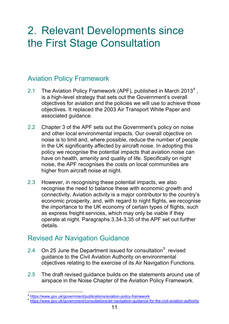# <span id="page-10-0"></span>2. Relevant Developments since the First Stage Consultation

## <span id="page-10-1"></span>Aviation Policy Framework

- 2.1 The Aviation Policy Framework (APF), published in March 2013<sup>[4](#page-10-3)</sup>, is a high-level strategy that sets out the Government's overall objectives for aviation and the policies we will use to achieve those objectives. It replaced the 2003 Air Transport White Paper and associated guidance.
- 2.2 Chapter 3 of the APF sets out the Government's policy on noise and other local environmental impacts. Our overall objective on noise is to limit and, where possible, reduce the number of people in the UK significantly affected by aircraft noise. In adopting this policy we recognise the potential impacts that aviation noise can have on health, amenity and quality of life. Specifically on night noise, the APF recognises the costs on local communities are higher from aircraft noise at night.
- 2.3 However, in recognising these potential impacts, we also recognise the need to balance these with economic growth and connectivity. Aviation activity is a major contributor to the country's economic prosperity, and, with regard to night flights, we recognise the importance to the UK economy of certain types of flights, such as express freight services, which may only be viable if they operate at night. Paragraphs 3.34-3.35 of the APF set out further details.

## <span id="page-10-2"></span>Revised Air Navigation Guidance

- 2.4 On 2[5](#page-10-4) June the Department issued for consultation<sup>5</sup> revised guidance to the Civil Aviation Authority on environmental objectives relating to the exercise of its Air Navigation Functions.
- 2.5 The draft revised guidance builds on the statements around use of airspace in the Noise Chapter of the Aviation Policy Framework.

 $\overline{a}$ <sup>4</sup> https://www.gov.uk/government/publications/aviation-policy-framework

<span id="page-10-4"></span><span id="page-10-3"></span><sup>5</sup> https://www.gov.uk/government/consultations/air-navigation-guidance-for-the-civil-aviation-authority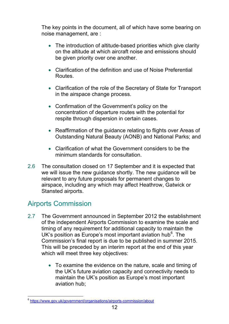The key points in the document, all of which have some bearing on noise management, are :

- The introduction of altitude-based priorities which give clarity on the altitude at which aircraft noise and emissions should be given priority over one another.
- Clarification of the definition and use of Noise Preferential Routes.
- Clarification of the role of the Secretary of State for Transport in the airspace change process.
- Confirmation of the Government's policy on the concentration of departure routes with the potential for respite through dispersion in certain cases.
- Reaffirmation of the guidance relating to flights over Areas of Outstanding Natural Beauty (AONB) and National Parks; and
- Clarification of what the Government considers to be the minimum standards for consultation.
- 2.6 The consultation closed on 17 September and it is expected that we will issue the new guidance shortly. The new guidance will be relevant to any future proposals for permanent changes to airspace, including any which may affect Heathrow, Gatwick or Stansted airports.

## <span id="page-11-0"></span>Airports Commission

- 2.7 The Government announced in September 2012 the establishment of the independent Airports Commission to examine the scale and timing of any requirement for additional capacity to maintain the UK's position as Europe's most important aviation hub $6$ . The Commission's final report is due to be published in summer 2015. This will be preceded by an interim report at the end of this year which will meet three key objectives:
	- To examine the evidence on the nature, scale and timing of the UK's future aviation capacity and connectivity needs to maintain the UK's position as Europe's most important aviation hub;

<span id="page-11-1"></span><sup>-</sup><sup>6</sup> https://www.gov.uk/government/organisations/airports-commission/about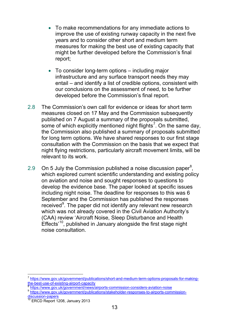- To make recommendations for any immediate actions to improve the use of existing runway capacity in the next five years and to consider other short and medium term measures for making the best use of existing capacity that might be further developed before the Commission's final report;
- To consider long-term options including major infrastructure and any surface transport needs they may entail – and identify a list of credible options, consistent with our conclusions on the assessment of need, to be further developed before the Commission's final report.
- 2.8 The Commission's own call for evidence or ideas for short term measures closed on 17 May and the Commission subsequently published on 7 August a summary of the proposals submitted, some of which explicitly mentioned night flights<sup>[7](#page-12-0)</sup>. On the same day, the Commission also published a summary of proposals submitted for long term options. We have shared responses to our first stage consultation with the Commission on the basis that we expect that night flying restrictions, particularly aircraft movement limits, will be relevant to its work.
- 2.9 On 5 July the Commission published a noise discussion paper<sup>[8](#page-12-1)</sup>, which explored current scientific understanding and existing policy on aviation and noise and sought responses to questions to develop the evidence base. The paper looked at specific issues including night noise. The deadline for responses to this was 6 September and the Commission has published the responses received<sup>[9](#page-12-2)</sup>. The paper did not identify any relevant new research which was not already covered in the Civil Aviation Authority's (CAA) review 'Aircraft Noise, Sleep Disturbance and Health Effects<sup>'[10](#page-12-3)</sup>, published in January alongside the first stage night noise consultation.

-

<span id="page-12-0"></span><sup>7</sup> https://www.gov.uk/government/publications/short-and-medium-term-options-proposals-for-makingthe-best-use-of-existing-airport-capacity

<span id="page-12-1"></span>https://www.gov.uk/government/news/airports-commission-considers-aviation-noise

<span id="page-12-2"></span>https://www.gov.uk/government/publications/stakeholder-responses-to-airports-commission-

<span id="page-12-3"></span>discussion-papers

ERCD Report 1208, January 2013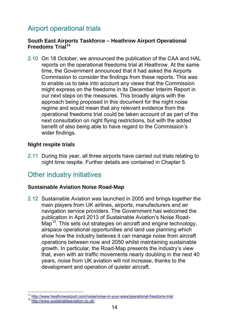# <span id="page-13-0"></span>Airport operational trials

#### **South East Airports Taskforce – Heathrow Airport Operational Freedoms Trial[11](#page-13-2)**

2.10 On 18 October, we announced the publication of the CAA and HAL reports on the operational freedoms trial at Heathrow. At the same time, the Government announced that it had asked the Airports Commission to consider the findings from these reports. This was to enable us to take into account any views that the Commission might express on the freedoms in its December Interim Report in our next steps on the measures. This broadly aligns with the approach being proposed in this document for the night noise regime and would mean that any relevant evidence from the operational freedoms trial could be taken account of as part of the next consultation on night flying restrictions, but with the added benefit of also being able to have regard to the Commission's wider findings.

#### **Night respite trials**

2.11 During this year, all three airports have carried out trials relating to night time respite. Further details are contained in Chapter 5.

## <span id="page-13-1"></span>Other industry initiatives

#### **Sustainable Aviation Noise Road-Map**

2.12 Sustainable Aviation was launched in 2005 and brings together the main players from UK airlines, airports, manufacturers and air navigation service providers. The Government has welcomed the publication in April 2013 of Sustainable Aviation's Noise Road-Map<sup>12</sup>. This sets out strategies on aircraft and engine technology, airspace operational opportunities and land use planning which show how the industry believes it can manage noise from aircraft operations between now and 2050 whilst maintaining sustainable growth. In particular, the Road-Map presents the industry's view that, even with air traffic movements nearly doubling in the next 40 years, noise from UK aviation will not increase, thanks to the development and operation of quieter aircraft.

<span id="page-13-3"></span><span id="page-13-2"></span> $\overline{a}$ <sup>11</sup> http://www.heathrowairport.com/noise/noise-in-your-area/operational-freedoms-trial<br><sup>12</sup> http://www.sustainableaviation.co.uk/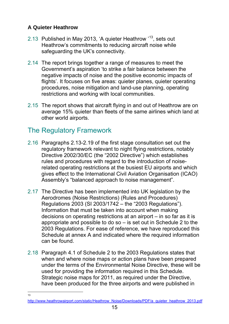### **A Quieter Heathrow**

- 2.13 Published in May 2013, 'A quieter Heathrow '[13,](#page-14-1) sets out Heathrow's commitments to reducing aircraft noise while safeguarding the UK's connectivity.
- 2.14 The report brings together a range of measures to meet the Government's aspiration 'to strike a fair balance between the negative impacts of noise and the positive economic impacts of flights'. It focuses on five areas: quieter planes, quieter operating procedures, noise mitigation and land-use planning, operating restrictions and working with local communities.
- 2.15 The report shows that aircraft flying in and out of Heathrow are on average 15% quieter than fleets of the same airlines which land at other world airports.

# <span id="page-14-0"></span>The Regulatory Framework

- 2.16 Paragraphs 2.13-2.19 of the first stage consultation set out the regulatory framework relevant to night flying restrictions, notably Directive 2002/30/EC (the "2002 Directive") which establishes rules and procedures with regard to the introduction of noiserelated operating restrictions at the busiest EU airports and which gives effect to the International Civil Aviation Organisation (ICAO) Assembly's "balanced approach to noise management".
- 2.17 The Directive has been implemented into UK legislation by the Aerodromes (Noise Restrictions) (Rules and Procedures) Regulations 2003 (SI 2003/1742 – the "2003 Regulations"). Information that must be taken into account when making decisions on operating restrictions at an airport – in so far as it is appropriate and possible to do so – is set out in Schedule 2 to the 2003 Regulations. For ease of reference, we have reproduced this Schedule at annex A and indicated where the required information can be found.
- 2.18 Paragraph 4.1 of Schedule 2 to the 2003 Regulations states that when and where noise maps or action plans have been prepared under the terms of the Environmental Noise Directive, these will be used for providing the information required in this Schedule. Strategic noise maps for 2011, as required under the Directive, have been produced for the three airports and were published in

 $\frac{1}{13}$ 

<span id="page-14-1"></span>http://www.heathrowairport.com/static/Heathrow\_Noise/Downloads/PDF/a\_quieter\_heathrow\_2013.pdf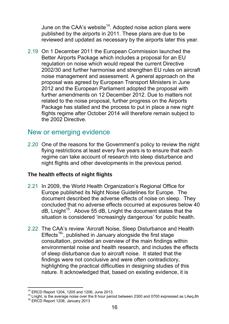June on the CAA's website<sup>14</sup>. Adopted noise action plans were published by the airports in 2011. These plans are due to be reviewed and updated as necessary by the airports later this year.

2.19 On 1 December 2011 the European Commission launched the Better Airports Package which includes a proposal for an EU regulation on noise which would repeal the current Directive 2002/30 and further harmonise and strengthen EU rules on aircraft noise management and assessment. A general approach on the proposal was agreed by European Transport Ministers in June 2012 and the European Parliament adopted the proposal with further amendments on 12 December 2012. Due to matters not related to the noise proposal, further progress on the Airports Package has stalled and the process to put in place a new night flights regime after October 2014 will therefore remain subject to the 2002 Directive.

## <span id="page-15-0"></span>New or emerging evidence

2.20 One of the reasons for the Government's policy to review the night flying restrictions at least every five years is to ensure that each regime can take account of research into sleep disturbance and night flights and other developments in the previous period.

#### **The health effects of night flights**

- 2.21 In 2009, the World Health Organization's Regional Office for Europe published its Night Noise Guidelines for Europe. The document described the adverse effects of noise on sleep. They concluded that no adverse effects occurred at exposures below 40  $dB$ , Lnight<sup>[15](#page-15-2)</sup>. Above 55 dB, Lnight the document states that the situation is considered 'increasingly dangerous' for public health.
- 2.22 The CAA's review 'Aircraft Noise, Sleep Disturbance and Health Effects<sup>[16](#page-15-3)</sup>', published in January alongside the first stage consultation, provided an overview of the main findings within environmental noise and health research, and includes the effects of sleep disturbance due to aircraft noise. It stated that the findings were not conclusive and were often contradictory, highlighting the practical difficulties in designing studies of this nature. It acknowledged that, based on existing evidence, it is

<sup>-</sup>

<span id="page-15-3"></span><span id="page-15-2"></span><span id="page-15-1"></span><sup>&</sup>lt;sup>14</sup> ERCD Report 1204, 1205 and 1206, June 2013.<br><sup>15</sup> Lnight, is the average noise over the 8 hour period between 2300 and 0700 expressed as LAeq,8h <sup>16</sup> ERCD Report 1208, January 2013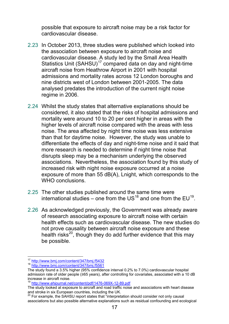possible that exposure to aircraft noise may be a risk factor for cardiovascular disease.

- 2.23 In October 2013, three studies were published which looked into the association between exposure to aircraft noise and cardiovascular disease. A study led by the Small Area Health Statistics Unit (SAHSU)<sup>17</sup> compared data on day and night-time aircraft noise from Heathrow Airport in 2001 with hospital admissions and mortality rates across 12 London boroughs and nine districts west of London between 2001-2005. The data analysed predates the introduction of the current night noise regime in 2006.
- 2.24 Whilst the study states that alternative explanations should be considered, it also stated that the risks of hospital admissions and mortality were around 10 to 20 per cent higher in areas with the higher levels of aircraft noise compared with the areas with less noise. The area affected by night time noise was less extensive than that for daytime noise. However, the study was unable to differentiate the effects of day and night-time noise and it said that more research is needed to determine if night time noise that disrupts sleep may be a mechanism underlying the observed associations. Nevertheless, the association found by this study of increased risk with night noise exposure occurred at a noise exposure of more than 55 dB(A), Lnight, which corresponds to the WHO conclusions.
- 2.25 The other studies published around the same time were international studies – one from the US<sup>18</sup> and one from the EU<sup>[19](#page-16-2)</sup>.
- 2.26 As acknowledged previously, the Government was already aware of research associating exposure to aircraft noise with certain health effects such as cardiovascular disease. The new studies do not prove causality between aircraft noise exposure and these health risks $^{20}$  $^{20}$  $^{20}$ , though they do add further evidence that this may be possible.

<sup>-</sup><sup>17</sup> http://www.bmj.com/content/347/bmj.f5432<br><sup>18</sup> http://www.bmj.com/content/347/bmj.f5561

<span id="page-16-0"></span>

<span id="page-16-1"></span>The study found a 3.5% higher (95% confidence interval 0.2% to 7.0%) cardiovascular hospital admission rate of older people (≥65 years), after controlling for covariates, associated with a 10 dB increase in aircraft noise.

<sup>19</sup> http://www.ehjournal.net/content/pdf/1476-069X-12-89.pdf

<span id="page-16-2"></span>The study looked at exposure to aircraft and road traffic noise and associations with heart disease and stroke in six European countries, including the UK.

<span id="page-16-3"></span> $20$  For example, the SAHSU report states that "interpretation should consider not only causal associations but also possible alternative explanations such as residual confounding and ecological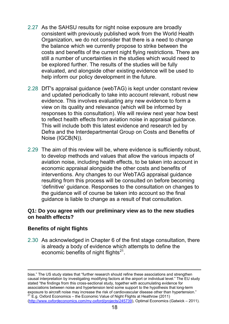- 2.27 As the SAHSU results for night noise exposure are broadly consistent with previously published work from the World Health Organization, we do not consider that there is a need to change the balance which we currently propose to strike between the costs and benefits of the current night flying restrictions. There are still a number of uncertainties in the studies which would need to be explored further. The results of the studies will be fully evaluated, and alongside other existing evidence will be used to help inform our policy development in the future.
- 2.28 DfT's appraisal guidance (webTAG) is kept under constant review and updated periodically to take into account relevant, robust new evidence. This involves evaluating any new evidence to form a view on its quality and relevance (which will be informed by responses to this consultation). We will review next year how best to reflect health effects from aviation noise in appraisal guidance. This will include both this latest evidence and research led by Defra and the Interdepartmental Group on Costs and Benefits of Noise (IGCB(N)).
- 2.29 The aim of this review will be, where evidence is sufficiently robust, to develop methods and values that allow the various impacts of aviation noise, including health effects, to be taken into account in economic appraisal alongside the other costs and benefits of interventions. Any changes to our WebTAG appraisal guidance resulting from this process will be consulted on before becoming 'definitive' guidance. Responses to the consultation on changes to the guidance will of course be taken into account so the final guidance is liable to change as a result of that consultation.

#### **Q1: Do you agree with our preliminary view as to the new studies on health effects?**

#### **Benefits of night flights**

-

2.30 As acknowledged in Chapter 6 of the first stage consultation, there is already a body of evidence which attempts to define the economic benefits of night flights $21$ .

<span id="page-17-0"></span>bias." The US study states that "further research should refine these associations and strengthen causal interpretation by investigating modifying factors at the airport or individual level." The EU study stated "the findings from this cross-sectional study, together with accumulating evidence for associations between noise and hypertension lend some support to the hypothesis that long-term exposure to aircraft noise may increase the risk of cardiovascular disease other than hypertension."<br><sup>21</sup> E.g. Oxford Economics – the Economic Value of Night Flights at Heathrow (2011) (http://www.oxfordeconomics.com/my-oxford/projects/245739), Optimal Economics (Gatwick – 2011).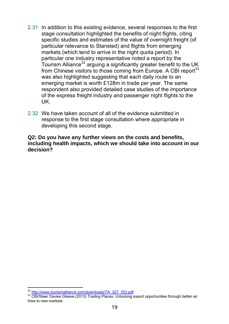- 2.31 In addition to this existing evidence, several responses to the first stage consultation highlighted the benefits of night flights, citing specific studies and estimates of the value of overnight freight (of particular relevance to Stansted) and flights from emerging markets (which tend to arrive in the night quota period). In particular one industry representative noted a report by the Tourism Alliance<sup>22</sup> arguing a significantly greater benefit to the UK from Chinese visitors to those coming from Europe. A CBI report  $2^3$ was also highlighted suggesting that each daily route to an emerging market is worth £128m in trade per year. The same respondent also provided detailed case studies of the importance of the express freight industry and passenger night flights to the UK.
- 2.32 We have taken account of all of the evidence submitted in response to the first stage consultation where appropriate in developing this second stage.

#### **Q2: Do you have any further views on the costs and benefits, including health impacts, which we should take into account in our decision?**

<sup>-</sup>

<span id="page-18-1"></span><span id="page-18-0"></span><sup>&</sup>lt;sup>22</sup> <u>http://www.tourismalliance.com/downloads/TA\_327\_353.pdf</u><br><sup>23</sup> CBI/Steer Davies Gleave,(2013) Trading Places: Unlocking export opportunities through better air links to new markets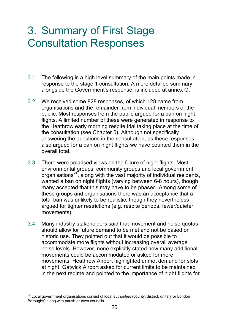# <span id="page-19-0"></span>3. Summary of First Stage Consultation Responses

- 3.1 The following is a high level summary of the main points made in response to the stage 1 consultation. A more detailed summary, alongside the Government's response, is included at annex G.
- 3.2 We received some 828 responses, of which 128 came from organisations and the remainder from individual members of the public. Most responses from the public argued for a ban on night flights. A limited number of these were generated in response to the Heathrow early morning respite trial taking place at the time of the consultation (see Chapter 5). Although not specifically answering the questions in the consultation, as these responses also argued for a ban on night flights we have counted them in the overall total.
- 3.3 There were polarised views on the future of night flights. Most environmental groups, community groups and local government organisations<sup>24</sup>, along with the vast majority of individual residents, wanted a ban on night flights (varying between 6-8 hours), though many accepted that this may have to be phased. Among some of these groups and organisations there was an acceptance that a total ban was unlikely to be realistic, though they nevertheless argued for tighter restrictions (e.g. respite periods, fewer/quieter movements).
- 3.4 Many industry stakeholders said that movement and noise quotas should allow for future demand to be met and not be based on historic use. They pointed out that it would be possible to accommodate more flights without increasing overall average noise levels. However, none explicitly stated how many additional movements could be accommodated or asked for more movements. Heathrow Airport highlighted unmet demand for slots at night. Gatwick Airport asked for current limits to be maintained in the next regime and pointed to the importance of night flights for

<span id="page-19-1"></span> $\overline{a}$  $24$  Local government organisations consist of local authorities (county, district, unitary or London Boroughs) along with parish or town councils.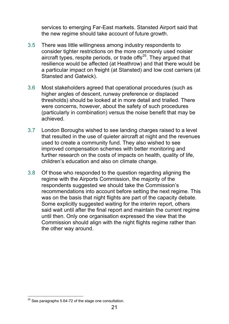services to emerging Far-East markets. Stansted Airport said that the new regime should take account of future growth.

- 3.5 There was little willingness among industry respondents to consider tighter restrictions on the more commonly used noisier aircraft types, respite periods, or trade offs $25$ . They argued that resilience would be affected (at Heathrow) and that there would be a particular impact on freight (at Stansted) and low cost carriers (at Stansted and Gatwick).
- 3.6 Most stakeholders agreed that operational procedures (such as higher angles of descent, runway preference or displaced thresholds) should be looked at in more detail and trialled. There were concerns, however, about the safety of such procedures (particularly in combination) versus the noise benefit that may be achieved.
- 3.7 London Boroughs wished to see landing charges raised to a level that resulted in the use of quieter aircraft at night and the revenues used to create a community fund. They also wished to see improved compensation schemes with better monitoring and further research on the costs of impacts on health, quality of life, children's education and also on climate change.
- 3.8 Of those who responded to the question regarding aligning the regime with the Airports Commission, the majority of the respondents suggested we should take the Commission's recommendations into account before setting the next regime. This was on the basis that night flights are part of the capacity debate. Some explicitly suggested waiting for the interim report, others said wait until after the final report and maintain the current regime until then. Only one organisation expressed the view that the Commission should align with the night flights regime rather than the other way around.

<span id="page-20-0"></span><sup>-</sup> $25$  See paragraphs 5.64-72 of the stage one consultation.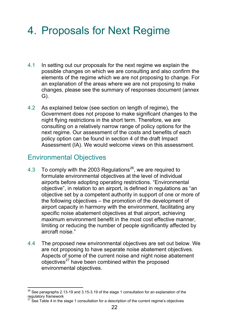# <span id="page-21-0"></span>4. Proposals for Next Regime

- 4.1 In setting out our proposals for the next regime we explain the possible changes on which we are consulting and also confirm the elements of the regime which we are not proposing to change. For an explanation of the areas where we are not proposing to make changes, please see the summary of responses document (annex G).
- 4.2 As explained below (see section on length of regime), the Government does not propose to make significant changes to the night flying restrictions in the short term. Therefore, we are consulting on a relatively narrow range of policy options for the next regime. Our assessment of the costs and benefits of each policy option can be found in section 4 of the draft Impact Assessment (IA). We would welcome views on this assessment.

## <span id="page-21-1"></span>Environmental Objectives

- 4.3 To comply with the 2003 Regulations<sup>[26](#page-21-2)</sup>, we are required to formulate environmental objectives at the level of individual airports before adopting operating restrictions. "Environmental objective", in relation to an airport, is defined in regulations as "an objective set by a competent authority in support of one or more of the following objectives – the promotion of the development of airport capacity in harmony with the environment, facilitating any specific noise abatement objectives at that airport, achieving maximum environment benefit in the most cost effective manner, limiting or reducing the number of people significantly affected by aircraft noise."
- 4.4 The proposed new environmental objectives are set out below. We are not proposing to have separate noise abatement objectives. Aspects of some of the current noise and night noise abatement objectives<sup>27</sup> have been combined within the proposed environmental objectives.

<span id="page-21-2"></span><sup>-</sup> $^{26}$  See paragraphs 2.13-19 and 3.15-3.19 of the stage 1 consultation for an explanation of the regulatory framework

<span id="page-21-3"></span> $27$  See Table 4 in the stage 1 consultation for a description of the current regime's objectives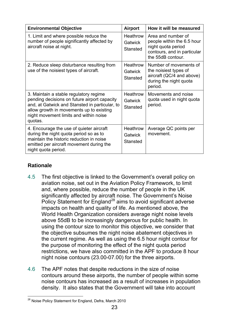| <b>Environmental Objective</b>                                                                                                                                                                                                            | <b>Airport</b>                                | How it will be measured                                                                                                    |
|-------------------------------------------------------------------------------------------------------------------------------------------------------------------------------------------------------------------------------------------|-----------------------------------------------|----------------------------------------------------------------------------------------------------------------------------|
| 1. Limit and where possible reduce the<br>number of people significantly affected by<br>aircraft noise at night.                                                                                                                          | Heathrow<br>Gatwick<br><b>Stansted</b>        | Area and number of<br>people within the 6.5 hour<br>night quota period<br>contours, and in particular<br>the 55dB contour. |
| 2. Reduce sleep disturbance resulting from<br>use of the noisiest types of aircraft.                                                                                                                                                      | Heathrow<br>Gatwick<br><b>Stansted</b>        | Number of movements of<br>the noisiest types of<br>aircraft (QC/4 and above)<br>during the night quota<br>period.          |
| 3. Maintain a stable regulatory regime<br>pending decisions on future airport capacity<br>and, at Gatwick and Stansted in particular, to<br>allow growth in movements up to existing<br>night movement limits and within noise<br>quotas. | <b>Heathrow</b><br>Gatwick<br><b>Stansted</b> | Movements and noise<br>quota used in night quota<br>period.                                                                |
| 4. Encourage the use of quieter aircraft<br>during the night quota period so as to<br>maintain the historic reduction in noise<br>emitted per aircraft movement during the<br>night quota period.                                         | Heathrow<br>Gatwick<br><b>Stansted</b>        | Average QC points per<br>movement.                                                                                         |

### **Rationale**

- 4.5 The first objective is linked to the Government's overall policy on aviation noise, set out in the Aviation Policy Framework, to limit and, where possible, reduce the number of people in the UK significantly affected by aircraft noise. The Government's Noise Policy Statement for England<sup>[28](#page-22-0)</sup> aims to avoid significant adverse impacts on health and quality of life. As mentioned above, the World Health Organization considers average night noise levels above 55dB to be increasingly dangerous for public health. In using the contour size to monitor this objective, we consider that the objective subsumes the night noise abatement objectives in the current regime. As well as using the 6.5 hour night contour for the purpose of monitoring the effect of the night quota period restrictions, we have also committed in the APF to produce 8 hour night noise contours (23.00-07.00) for the three airports.
- 4.6 The APF notes that despite reductions in the size of noise contours around these airports, the number of people within some noise contours has increased as a result of increases in population density. It also states that the Government will take into account

<span id="page-22-0"></span><sup>-</sup><sup>28</sup> Noise Policy Statement for England, Defra, March 2010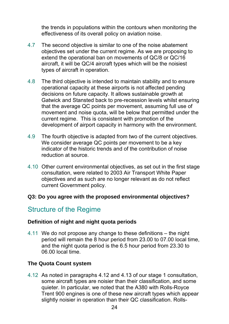the trends in populations within the contours when monitoring the effectiveness of its overall policy on aviation noise.

- 4.7 The second objective is similar to one of the noise abatement objectives set under the current regime. As we are proposing to extend the operational ban on movements of QC/8 or QC/16 aircraft, it will be QC/4 aircraft types which will be the noisiest types of aircraft in operation.
- 4.8 The third objective is intended to maintain stability and to ensure operational capacity at these airports is not affected pending decisions on future capacity. It allows sustainable growth at Gatwick and Stansted back to pre-recession levels whilst ensuring that the average QC points per movement, assuming full use of movement and noise quota, will be below that permitted under the current regime. This is consistent with promotion of the development of airport capacity in harmony with the environment.
- 4.9 The fourth objective is adapted from two of the current objectives. We consider average QC points per movement to be a key indicator of the historic trends and of the contribution of noise reduction at source.
- 4.10 Other current environmental objectives, as set out in the first stage consultation, were related to 2003 Air Transport White Paper objectives and as such are no longer relevant as do not reflect current Government policy.

#### **Q3: Do you agree with the proposed environmental objectives?**

## <span id="page-23-0"></span>Structure of the Regime

#### **Definition of night and night quota periods**

4.11 We do not propose any change to these definitions – the night period will remain the 8 hour period from 23.00 to 07.00 local time, and the night quota period is the 6.5 hour period from 23.30 to 06.00 local time.

#### **The Quota Count system**

4.12 As noted in paragraphs 4.12 and 4.13 of our stage 1 consultation, some aircraft types are noisier than their classification, and some quieter. In particular, we noted that the A380 with Rolls-Royce Trent 900 engines is one of these new aircraft types which appear slightly noisier in operation than their QC classification. Rolls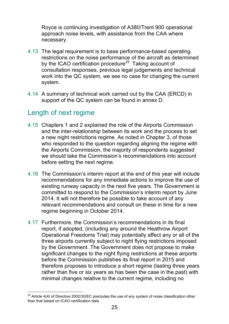Royce is continuing investigation of A380/Trent 900 operational approach noise levels, with assistance from the CAA where necessary.

- 4.13 The legal requirement is to base performance-based operating restrictions on the noise performance of the aircraft as determined by the ICAO certification procedure<sup>[29](#page-24-1)</sup>. Taking account of consultation responses, previous legal judgements and technical work into the QC system, we see no case for changing the current system.
- 4.14 A summary of technical work carried out by the CAA (ERCD) in support of the QC system can be found in annex D.

## <span id="page-24-0"></span>Length of next regime

- 4.15 Chapters 1 and 2 explained the role of the Airports Commission and the inter-relationship between its work and the process to set a new night restrictions regime. As noted in Chapter 3, of those who responded to the question regarding aligning the regime with the Airports Commission, the majority of respondents suggested we should take the Commission's recommendations into account before setting the next regime.
- 4.16 The Commission's interim report at the end of this year will include recommendations for any immediate actions to improve the use of existing runway capacity in the next five years. The Government is committed to respond to the Commission's interim report by June 2014. It will not therefore be possible to take account of any relevant recommendations and consult on these in time for a new regime beginning in October 2014.
- 4.17 Furthermore, the Commission's recommendations in its final report, if adopted, (including any around the Heathrow Airport Operational Freedoms Trial) may potentially affect any or all of the three airports currently subject to night flying restrictions imposed by the Government. The Government does not propose to make significant changes to the night flying restrictions at these airports before the Commission publishes its final report in 2015 and therefore proposes to introduce a short regime (lasting three years rather than five or six years as has been the case in the past) with minimal changes relative to the current regime, including no

<span id="page-24-1"></span> $\overline{a}$  $^{29}$  Article 4(4) of Directive 2002/30/EC precludes the use of any system of noise classification other than that based on ICAO certification data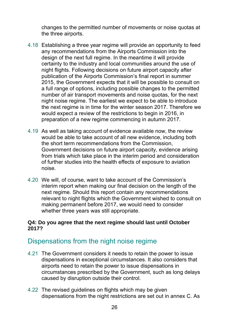changes to the permitted number of movements or noise quotas at the three airports.

- 4.18 Establishing a three year regime will provide an opportunity to feed any recommendations from the Airports Commission into the design of the next full regime. In the meantime it will provide certainty to the industry and local communities around the use of night flights. Following decisions on future airport capacity after publication of the Airports Commission's final report in summer 2015, the Government expects that it will be possible to consult on a full range of options, including possible changes to the permitted number of air transport movements and noise quotas, for the next night noise regime. The earliest we expect to be able to introduce the next regime is in time for the winter season 2017. Therefore we would expect a review of the restrictions to begin in 2016, in preparation of a new regime commencing in autumn 2017.
- 4.19 As well as taking account of evidence available now, the review would be able to take account of all new evidence, including both the short term recommendations from the Commission, Government decisions on future airport capacity, evidence arising from trials which take place in the interim period and consideration of further studies into the health effects of exposure to aviation noise.
- 4.20 We will, of course, want to take account of the Commission's interim report when making our final decision on the length of the next regime. Should this report contain any recommendations relevant to night flights which the Government wished to consult on making permanent before 2017, we would need to consider whether three years was still appropriate.

#### **Q4: Do you agree that the next regime should last until October 2017?**

## <span id="page-25-0"></span>Dispensations from the night noise regime

- 4.21 The Government considers it needs to retain the power to issue dispensations in exceptional circumstances. It also considers that airports need to retain the power to issue dispensations in circumstances prescribed by the Government, such as long delays caused by disruption outside their control.
- 4.22 The revised guidelines on flights which may be given dispensations from the night restrictions are set out in annex C. As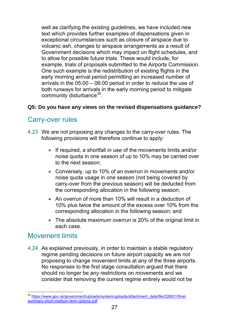well as clarifying the existing quidelines, we have included new text which provides further examples of dispensations given in exceptional circumstances such as closure of airspace due to volcanic ash, changes to airspace arrangements as a result of Government decisions which may impact on flight schedules, and to allow for possible future trials. These would include, for example, trials of proposals submitted to the Airports Commission. One such example is the redistribution of existing flights in the early morning arrival period permitting an increased number of arrivals in the 05:00 – 06:00 period in order to reduce the use of both runways for arrivals in the early morning period to mitigate community disturbance<sup>[30](#page-26-2)</sup>.

### **Q5: Do you have any views on the revised dispensations guidance?**

## <span id="page-26-0"></span>Carry-over rules

- 4.23 We are not proposing any changes to the carry-over rules. The following provisions will therefore continue to apply:
	- If required, a shortfall in use of the movements limits and/or noise quota in one season of up to 10% may be carried over to the next season;
	- Conversely, up to 10% of an overrun in movements and/or noise quota usage in one season (not being covered by carry-over from the previous season) will be deducted from the corresponding allocation in the following season;
	- An overrun of more than 10% will result in a deduction of 10% plus twice the amount of the excess over 10% from the corresponding allocation in the following season; and
	- The absolute maximum overrun is 20% of the original limit in each case.

### <span id="page-26-1"></span>Movement limits

4.24 As explained previously, in order to maintain a stable regulatory regime pending decisions on future airport capacity we are not proposing to change movement limits at any of the three airports. No responses to the first stage consultation argued that there should no longer be any restrictions on movements and we consider that removing the current regime entirely would not be

<span id="page-26-2"></span> $\overline{a}$ <sup>30</sup> https://www.gov.uk/government/uploads/system/uploads/attachment\_data/file/226831/finalsummary-short-medium-term-options.pdf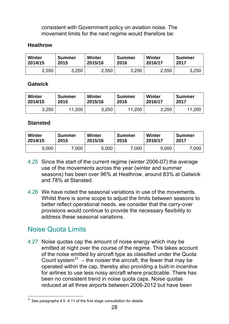consistent with Government policy on aviation noise. The movement limits for the next regime would therefore be:

#### **Heathrow**

| Winter  | <b>Summer</b> | Winter  | <b>Summer</b> | Winter  | <b>Summer</b> |
|---------|---------------|---------|---------------|---------|---------------|
| 2014/15 | 2015          | 2015/16 | 2016          | 2016/17 | 2017          |
| 2,550   | 3,250         | 2,550   | 3,250         | 2,550   | 3,250         |

#### **Gatwick**

| <b>Winter</b> | <b>Summer</b> | Winter  | <b>Summer</b> | Winter  | Summer     |
|---------------|---------------|---------|---------------|---------|------------|
| 2014/15       | 2015          | 2015/16 | 2016          | 2016/17 | 2017       |
| 3,250         | .200          | 3,250   | 11,200        | 3,250   | .200<br>11 |

#### **Stansted**

| <b>Winter</b> | <b>Summer</b> | Winter  | <b>Summer</b> | Winter  | Summer |
|---------------|---------------|---------|---------------|---------|--------|
| 2014/15       | 2015          | 2015/16 | 2016          | 2016/17 | 2017   |
| 5,000         | 7,000         | 5,000   | .000          | 5,000   | 7,000  |

- 4.25 Since the start of the current regime (winter 2006-07) the average use of the movements across the year (winter and summer seasons) has been over 96% at Heathrow, around 83% at Gatwick and 78% at Stansted.
- 4.26 We have noted the seasonal variations in use of the movements. Whilst there is some scope to adjust the limits between seasons to better reflect operational needs, we consider that the carry-over provisions would continue to provide the necessary flexibility to address these seasonal variations.

## <span id="page-27-0"></span>Noise Quota Limits

4.27 Noise quotas cap the amount of noise energy which may be emitted at night over the course of the regime. This takes account of the noise emitted by aircraft type as classified under the Quota Count system<sup>[31](#page-27-1)</sup> – the noisier the aircraft, the fewer that may be operated within the cap, thereby also providing a built-in incentive for airlines to use less noisy aircraft where practicable. There has been no consistent trend in noise quota caps. Noise quotas reduced at all three airports between 2006-2012 but have been

<span id="page-27-1"></span><sup>-</sup> $31$  See paragraphs 4.5 -4.11 of the first stage consultation for details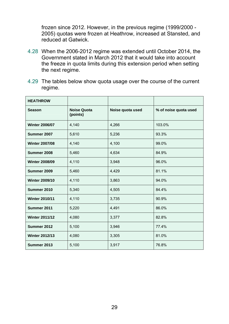frozen since 2012. However, in the previous regime (1999/2000 - 2005) quotas were frozen at Heathrow, increased at Stansted, and reduced at Gatwick.

- 4.28 When the 2006-2012 regime was extended until October 2014, the Government stated in March 2012 that it would take into account the freeze in quota limits during this extension period when setting the next regime.
- 4.29 The tables below show quota usage over the course of the current regime.

| <b>HEATHROW</b>       |                                |                  |                       |
|-----------------------|--------------------------------|------------------|-----------------------|
| <b>Season</b>         | <b>Noise Quota</b><br>(points) | Noise quota used | % of noise quota used |
| <b>Winter 2006/07</b> | 4,140                          | 4,266            | 103.0%                |
| Summer 2007           | 5,610                          | 5,236            | 93.3%                 |
| <b>Winter 2007/08</b> | 4,140                          | 4,100            | 99.0%                 |
| Summer 2008           | 5,460                          | 4,634            | 84.9%                 |
| <b>Winter 2008/09</b> | 4,110                          | 3,948            | 96.0%                 |
| Summer 2009           | 5,460                          | 4,429            | 81.1%                 |
| <b>Winter 2009/10</b> | 4,110                          | 3,863            | 94.0%                 |
| Summer 2010           | 5,340                          | 4,505            | 84.4%                 |
| <b>Winter 2010/11</b> | 4,110                          | 3,735            | 90.9%                 |
| Summer 2011           | 5,220                          | 4,491            | 86.0%                 |
| <b>Winter 2011/12</b> | 4,080                          | 3,377            | 82.8%                 |
| Summer 2012           | 5,100                          | 3,946            | 77.4%                 |
| <b>Winter 2012/13</b> | 4,080                          | 3,305            | 81.0%                 |
| Summer 2013           | 5,100                          | 3,917            | 76.8%                 |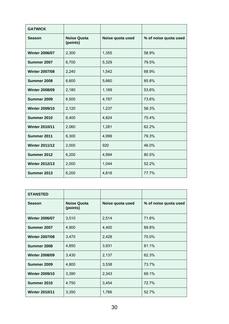| <b>GATWICK</b>        |                                |                  |                       |
|-----------------------|--------------------------------|------------------|-----------------------|
| <b>Season</b>         | <b>Noise Quota</b><br>(points) | Noise quota used | % of noise quota used |
| <b>Winter 2006/07</b> | 2,300                          | 1,355            | 58.9%                 |
| Summer 2007           | 6,700                          | 5,329            | 79.5%                 |
| <b>Winter 2007/08</b> | 2,240                          | 1,542            | 68.9%                 |
| Summer 2008           | 6,600                          | 5,660            | 85.8%                 |
| <b>Winter 2008/09</b> | 2,180                          | 1,169            | 53.6%                 |
| Summer 2009           | 6,500                          | 4,787            | 73.6%                 |
| <b>Winter 2009/10</b> | 2,120                          | 1,237            | 58.3%                 |
| Summer 2010           | 6,400                          | 4,824            | 75.4%                 |
| <b>Winter 2010/11</b> | 2,060                          | 1,281            | 62.2%                 |
| Summer 2011           | 6,300                          | 4,999            | 79.3%                 |
| <b>Winter 2011/12</b> | 2,000                          | 920              | 46.0%                 |
| Summer 2012           | 6,200                          | 4,994            | 80.5%                 |
| <b>Winter 2012/13</b> | 2,000                          | 1,044            | 52.2%                 |
| Summer 2013           | 6,200                          | 4,818            | 77.7%                 |

| <b>STANSTED</b>       |                                |                  |                       |
|-----------------------|--------------------------------|------------------|-----------------------|
| <b>Season</b>         | <b>Noise Quota</b><br>(points) | Noise quota used | % of noise quota used |
| <b>Winter 2006/07</b> | 3,510                          | 2,514            | 71.6%                 |
| Summer 2007           | 4,900                          | 4,400            | 89.8%                 |
| <b>Winter 2007/08</b> | 3,470                          | 2,428            | 70.0%                 |
| Summer 2008           | 4,850                          | 3,931            | 81.1%                 |
| <b>Winter 2008/09</b> | 3,430                          | 2,137            | 62.3%                 |
| Summer 2009           | 4,800                          | 3,538            | 73.7%                 |
| <b>Winter 2009/10</b> | 3,390                          | 2,343            | 69.1%                 |
| Summer 2010           | 4,750                          | 3,454            | 72.7%                 |
| <b>Winter 2010/11</b> | 3,350                          | 1,766            | 52.7%                 |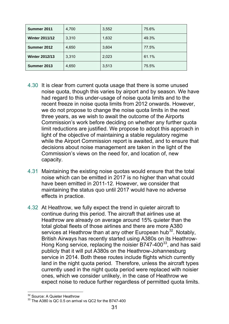| Summer 2011           | 4,700 | 3,552 | 75.6% |
|-----------------------|-------|-------|-------|
| <b>Winter 2011/12</b> | 3,310 | 1,632 | 49.3% |
| Summer 2012           | 4,650 | 3,604 | 77.5% |
| <b>Winter 2012/13</b> | 3,310 | 2,023 | 61.1% |
| Summer 2013           | 4,650 | 3,513 | 75.5% |

- 4.30 It is clear from current quota usage that there is some unused noise quota, though this varies by airport and by season. We have had regard to this under-usage of noise quota limits and to the recent freeze in noise quota limits from 2012 onwards. However, we do not propose to change the noise quota limits in the next three years, as we wish to await the outcome of the Airports Commission's work before deciding on whether any further quota limit reductions are justified. We propose to adopt this approach in light of the objective of maintaining a stable regulatory regime while the Airport Commission report is awaited, and to ensure that decisions about noise management are taken in the light of the Commission's views on the need for, and location of, new capacity.
- 4.31 Maintaining the existing noise quotas would ensure that the total noise which can be emitted in 2017 is no higher than what could have been emitted in 2011-12. However, we consider that maintaining the status quo until 2017 would have no adverse effects in practice.
- 4.32 At Heathrow, we fully expect the trend in quieter aircraft to continue during this period. The aircraft that airlines use at Heathrow are already on average around 15% quieter than the total global fleets of those airlines and there are more A380 services at Heathrow than at any other European hub<sup>[32](#page-30-0)</sup>. Notably, British Airways has recently started using A380s on its Heathrow-Hong Kong service, replacing the noisier B747-400 $^{33}$  $^{33}$  $^{33}$ , and has said publicly that it will put A380s on the Heathrow-Johannesburg service in 2014. Both these routes include flights which currently land in the night quota period. Therefore, unless the aircraft types currently used in the night quota period were replaced with noisier ones, which we consider unlikely, in the case of Heathrow we expect noise to reduce further regardless of permitted quota limits.

 $\overline{a}$ <sup>32</sup> Source: A Quieter Heathrow

<span id="page-30-1"></span><span id="page-30-0"></span><sup>&</sup>lt;sup>33</sup> The A380 is QC 0.5 on arrival vs QC2 for the B747-400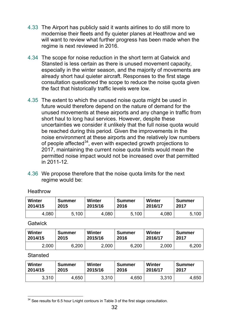- 4.33 The Airport has publicly said it wants airlines to do still more to modernise their fleets and fly quieter planes at Heathrow and we will want to review what further progress has been made when the regime is next reviewed in 2016.
- 4.34 The scope for noise reduction in the short term at Gatwick and Stansted is less certain as there is unused movement capacity, especially in the winter season, and the majority of movements are already short haul quieter aircraft. Responses to the first stage consultation questioned the scope to reduce the noise quota given the fact that historically traffic levels were low.
- 4.35 The extent to which the unused noise quota might be used in future would therefore depend on the nature of demand for the unused movements at these airports and any change in traffic from short haul to long haul services. However, despite these uncertainties we consider it unlikely that the full noise quota would be reached during this period. Given the improvements in the noise environment at these airports and the relatively low numbers of people affected $34$ , even with expected growth projections to 2017, maintaining the current noise quota limits would mean the permitted noise impact would not be increased over that permitted in 2011-12.
- 4.36 We propose therefore that the noise quota limits for the next regime would be:

| <b>Winter</b> | <b>Summer</b> | Winter  | <b>Summer</b> | Winter  | <b>Summer</b> |
|---------------|---------------|---------|---------------|---------|---------------|
| 2014/15       | 2015          | 2015/16 | 2016          | 2016/17 | 2017          |
| 4,080         | 5.100         | 4,080   | 100<br>5.     | 4,080   | 5,100         |

**Heathrow** 

**Gatwick** 

| <b>Winter</b> | <b>Summer</b> | Winter  | <b>Summer</b> | Winter  | <b>Summer</b> |
|---------------|---------------|---------|---------------|---------|---------------|
| 2014/15       | 2015          | 2015/16 | 2016          | 2016/17 | 2017          |
| 2,000         | 6.200         | 2,000   | 6,200         | 2,000   | 6,200         |

**Stansted** 

| Winter  | Summer | Winter  | Summer | Winter  | <b>Summer</b> |
|---------|--------|---------|--------|---------|---------------|
| 2014/15 | 2015   | 2015/16 | 2016   | 2016/17 | 2017          |
| 3,310   | 4,650  | 3,310   | 4,650  | 3,310   | 4,650         |

<span id="page-31-0"></span><sup>-</sup> $34$  See results for 6.5 hour Lnight contours in Table 3 of the first stage consultation.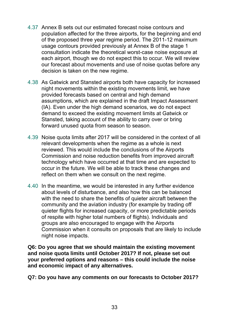- 4.37 Annex B sets out our estimated forecast noise contours and population affected for the three airports, for the beginning and end of the proposed three year regime period. The 2011-12 maximum usage contours provided previously at Annex B of the stage 1 consultation indicate the theoretical worst-case noise exposure at each airport, though we do not expect this to occur. We will review our forecast about movements and use of noise quotas before any decision is taken on the new regime.
- 4.38 As Gatwick and Stansted airports both have capacity for increased night movements within the existing movements limit, we have provided forecasts based on central and high demand assumptions, which are explained in the draft Impact Assessment (IA). Even under the high demand scenarios, we do not expect demand to exceed the existing movement limits at Gatwick or Stansted, taking account of the ability to carry over or bring forward unused quota from season to season.
- 4.39 Noise quota limits after 2017 will be considered in the context of all relevant developments when the regime as a whole is next reviewed. This would include the conclusions of the Airports Commission and noise reduction benefits from improved aircraft technology which have occurred at that time and are expected to occur in the future. We will be able to track these changes and reflect on them when we consult on the next regime.
- 4.40 In the meantime, we would be interested in any further evidence about levels of disturbance, and also how this can be balanced with the need to share the benefits of quieter aircraft between the community and the aviation industry (for example by trading off quieter flights for increased capacity, or more predictable periods of respite with higher total numbers of flights). Individuals and groups are also encouraged to engage with the Airports Commission when it consults on proposals that are likely to include night noise impacts.

**Q6: Do you agree that we should maintain the existing movement and noise quota limits until October 2017? If not, please set out your preferred options and reasons – this could include the noise and economic impact of any alternatives.** 

**Q7: Do you have any comments on our forecasts to October 2017?**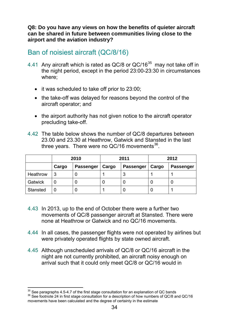**Q8: Do you have any views on how the benefits of quieter aircraft can be shared in future between communities living close to the airport and the aviation industry?** 

## <span id="page-33-0"></span>Ban of noisiest aircraft (QC/8/16)

- 4.41 Any aircraft which is rated as QC/8 or QC/16<sup>35</sup> may not take off in the night period, except in the period 23:00-23:30 in circumstances where;
	- it was scheduled to take off prior to 23:00;
	- the take-off was delayed for reasons beyond the control of the aircraft operator; and
	- the airport authority has not given notice to the aircraft operator precluding take-off.
- 4.42 The table below shows the number of QC/8 departures between 23.00 and 23.30 at Heathrow, Gatwick and Stansted in the last three years. There were no  $QC/16$  movements<sup>[36](#page-33-2)</sup>.

|                 | 2010  |                  | 2011  |                  | 2012  |                  |
|-----------------|-------|------------------|-------|------------------|-------|------------------|
|                 | Cargo | <b>Passenger</b> | Cargo | <b>Passenger</b> | Cargo | <b>Passenger</b> |
| Heathrow        |       |                  |       |                  |       |                  |
| Gatwick         |       |                  |       |                  |       |                  |
| <b>Stansted</b> |       |                  |       |                  |       |                  |

- 4.43 In 2013, up to the end of October there were a further two movements of QC/8 passenger aircraft at Stansted. There were none at Heathrow or Gatwick and no QC/16 movements.
- 4.44 In all cases, the passenger flights were not operated by airlines but were privately operated flights by state owned aircraft.
- 4.45 Although unscheduled arrivals of QC/8 or QC/16 aircraft in the night are not currently prohibited, an aircraft noisy enough on arrival such that it could only meet QC/8 or QC/16 would in

<sup>-</sup> $^{35}$  See paragraphs 4.5-4.7 of the first stage consultation for an explanation of QC bands<br><sup>36</sup> See footnote 24 in first stage consultation for a description of how numbers of QC/8 and QC/16

<span id="page-33-2"></span><span id="page-33-1"></span>movements have been calculated and the degree of certainty in the estimate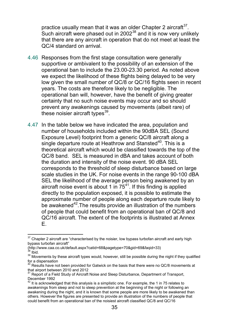practice usually mean that it was an older Chapter 2 aircraft  $37$ . Such aircraft were phased out in 2002 $38$  and it is now very unlikely that there are any aircraft in operation that do not meet at least the QC/4 standard on arrival.

- 4.46 Responses from the first stage consultation were generally supportive or ambivalent to the possibility of an extension of the operational ban to include the 23.00-23.30 period. As noted above we expect the likelihood of these flights being delayed to be very low given the small number of QC/8 or QC/16 flights seen in recent years. The costs are therefore likely to be negligible. The operational ban will, however, have the benefit of giving greater certainty that no such noise events may occur and so should prevent any awakenings caused by movements (albeit rare) of these noisier aircraft types $39$ .
- 4.47 In the table below we have indicated the area, population and number of households included within the 90dBA SEL (Sound Exposure Level) footprint from a generic QC/8 aircraft along a single departure route at Heathrow and Stansted<sup>[40](#page-34-3)</sup>. This is a theoretical aircraft which would be classified towards the top of the QC/8 band. SEL is measured in dBA and takes account of both the duration and intensity of the noise event. 90 dBA SEL corresponds to the threshold of sleep disturbance based on large scale studies in the UK. For noise events in the range 90-100 dBA SEL the likelihood of the average person being awakened by an aircraft noise event is about 1 in  $75^{41}$ . If this finding is applied directly to the population exposed, it is possible to estimate the approximate number of people along each departure route likely to be awakened<sup>42</sup>. The results provide an illustration of the numbers of people that could benefit from an operational ban of QC/8 and QC/16 aircraft. The extent of the footprints is illustrated at Annex E.

<span id="page-34-0"></span><sup>-</sup> $37$  Chapter 2 aircraft are "characterised by the noisier, low bypass turbofan aircraft and early high bypass turbofan aircraft"

<sup>(</sup>http://www.caa.co.uk/default.aspx?catid=68&pagetype=70&gid=69&faqid=33)

 $38$  Ibid.

<span id="page-34-2"></span><span id="page-34-1"></span><sup>&</sup>lt;sup>39</sup> Movements by these aircraft types would, however, still be possible during the night if they qualified for a dispensation

<span id="page-34-3"></span> $40$  Results have not been provided for Gatwick on the basis that there were no QC/8 movements at that airport between 2010 and 2012

<span id="page-34-4"></span><sup>41</sup> Report of a Field Study of Aircraft Noise and Sleep Disturbance, Department of Transport, December 1992

<span id="page-34-5"></span> $42$  It is acknowledged that this analysis is a simplistic one. For example, the 1 in 75 relates to awakenings from sleep and not to sleep prevention at the beginning of the night or following an awakening during the night, and it is known that some people are more likely to be awakened than others. However the figures are presented to provide an illustration of the numbers of people that could benefit from an operational ban of the noisiest aircraft classified QC/8 and QC/16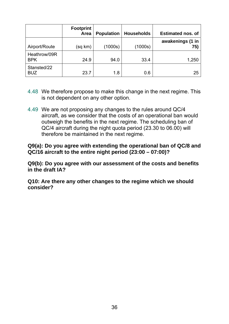|                            | <b>Footprint</b><br>Area | <b>Population</b> | <b>Households</b> | <b>Estimated nos. of</b> |
|----------------------------|--------------------------|-------------------|-------------------|--------------------------|
| Airport/Route              | (sq km)                  | (1000s)           | (1000s)           | awakenings (1 in<br>75)  |
| Heathrow/09R<br><b>BPK</b> | 24.9                     | 94.0              | 33.4              | 1,250                    |
| Stansted/22<br><b>BUZ</b>  | 23.7                     | 1.8               | 0.6               | 25                       |

- 4.48 We therefore propose to make this change in the next regime. This is not dependent on any other option.
- 4.49 We are not proposing any changes to the rules around QC/4 aircraft, as we consider that the costs of an operational ban would outweigh the benefits in the next regime. The scheduling ban of QC/4 aircraft during the night quota period (23.30 to 06.00) will therefore be maintained in the next regime.

**Q9(a): Do you agree with extending the operational ban of QC/8 and QC/16 aircraft to the entire night period (23:00 – 07:00)?** 

**Q9(b): Do you agree with our assessment of the costs and benefits in the draft IA?** 

**Q10: Are there any other changes to the regime which we should consider?**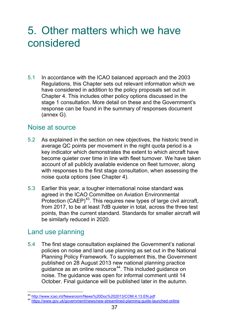# <span id="page-36-0"></span>5. Other matters which we have considered

5.1 In accordance with the ICAO balanced approach and the 2003 Regulations, this Chapter sets out relevant information which we have considered in addition to the policy proposals set out in Chapter 4. This includes other policy options discussed in the stage 1 consultation. More detail on these and the Government's response can be found in the summary of responses document (annex G).

### <span id="page-36-1"></span>Noise at source

- 5.2 As explained in the section on new objectives, the historic trend in average QC points per movement in the night quota period is a key indicator which demonstrates the extent to which aircraft have become quieter over time in line with fleet turnover. We have taken account of all publicly available evidence on fleet turnover, along with responses to the first stage consultation, when assessing the noise quota options (see Chapter 4).
- 5.3 Earlier this year, a tougher international noise standard was agreed in the ICAO Committee on Aviation Environmental Protection  $(CAEP)^{43}$ . This requires new types of large civil aircraft, from 2017, to be at least 7dB quieter in total, across the three test points, than the current standard. Standards for smaller aircraft will be similarly reduced in 2020.

### <span id="page-36-2"></span>Land use planning

5.4 The first stage consultation explained the Government's national policies on noise and land use planning as set out in the National Planning Policy Framework. To supplement this, the Government published on 28 August 2013 new national planning practice guidance as an online resource $44$ . This included guidance on noise. The guidance was open for informal comment until 14 October. Final guidance will be published later in the autumn.

 $\overline{a}$ 

<span id="page-36-4"></span><span id="page-36-3"></span><sup>&</sup>lt;sup>43</sup> http://www.icao.int/Newsroom/News%20Doc%202013/COM.4.13.EN.pdf<br><sup>44</sup> https://www.gov.uk/government/news/new-streamlined-planning-guide-launched-online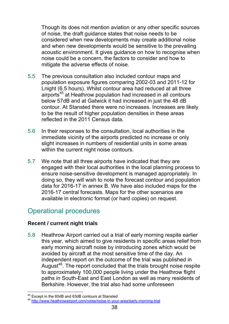Though its does not mention aviation or any other specific sources of noise, the draft guidance states that noise needs to be considered when new developments may create additional noise and when new developments would be sensitive to the prevailing acoustic environment. It gives guidance on how to recognise when noise could be a concern, the factors to consider and how to mitigate the adverse effects of noise.

- 5.5 The previous consultation also included contour maps and population exposure figures comparing 2002-03 and 2011-12 for Lnight (6.5 hours). Whilst contour area had reduced at all three airports<sup>[45](#page-37-1)</sup> at Heathrow population had increased in all contours below 57dB and at Gatwick it had increased in just the 48 dB contour. At Stansted there were no increases. Increases are likely to be the result of higher population densities in these areas reflected in the 2011 Census data.
- 5.6 In their responses to the consultation, local authorities in the immediate vicinity of the airports predicted no increase or only slight increases in numbers of residential units in some areas within the current night noise contours.
- 5.7 We note that all three airports have indicated that they are engaged with their local authorities in the local planning process to ensure noise-sensitive development is managed appropriately. In doing so, they will wish to note the forecast contour and population data for 2016-17 in annex B. We have also included maps for the 2016-17 central forecasts. Maps for the other scenarios are available in electronic format (or hard copies) on request.

## <span id="page-37-0"></span>Operational procedures

### **Recent / current night trials**

5.8 Heathrow Airport carried out a trial of early morning respite earlier this year, which aimed to give residents in specific areas relief from early morning aircraft noise by introducing zones which would be avoided by aircraft at the most sensitive time of the day. An independent report on the outcome of the trial was published in August<sup>[46](#page-37-2)</sup>. The report concluded that the trials brought noise respite to approximately 100,000 people living under the Heathrow flight paths in South-East and East London as well as many residents of Berkshire. However, the trial also had some unforeseen

 $\overline{a}$ 

<span id="page-37-2"></span><span id="page-37-1"></span><sup>&</sup>lt;sup>45</sup> Except in the 60dB and 63dB contours at Stansted<br><sup>46</sup> http://www.heathrowairport.com/noise/noise-in-your-area/early-morning-trial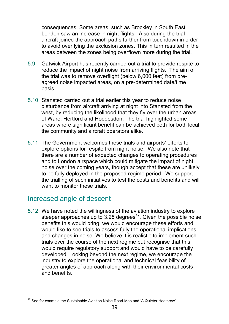consequences. Some areas, such as Brockley in South East London saw an increase in night flights. Also during the trial aircraft joined the approach paths further from touchdown in order to avoid overflying the exclusion zones. This in turn resulted in the areas between the zones being overflown more during the trial.

- 5.9 Gatwick Airport has recently carried out a trial to provide respite to reduce the impact of night noise from arriving flights. The aim of the trial was to remove overflight (below 6,000 feet) from preagreed noise impacted areas, on a pre-determined date/time basis.
- 5.10 Stansted carried out a trial earlier this year to reduce noise disturbance from aircraft arriving at night into Stansted from the west, by reducing the likelihood that they fly over the urban areas of Ware, Hertford and Hoddesdon. The trial highlighted some areas where significant benefit can be achieved both for both local the community and aircraft operators alike.
- 5.11 The Government welcomes these trials and airports' efforts to explore options for respite from night noise. We also note that there are a number of expected changes to operating procedures and to London airspace which could mitigate the impact of night noise over the coming years, though accept that these are unlikely to be fully deployed in the proposed regime period. We support the trialling of such initiatives to test the costs and benefits and will want to monitor these trials.

### <span id="page-38-0"></span>Increased angle of descent

5.12 We have noted the willingness of the aviation industry to explore steeper approaches up to  $3.25$  degrees<sup>47</sup>. Given the possible noise benefits this would bring, we would encourage these efforts and would like to see trials to assess fully the operational implications and changes in noise. We believe it is realistic to implement such trials over the course of the next regime but recognise that this would require regulatory support and would have to be carefully developed. Looking beyond the next regime, we encourage the industry to explore the operational and technical feasibility of greater angles of approach along with their environmental costs and benefits.

<span id="page-38-1"></span><sup>-</sup> $47$  See for example the Sustainable Aviation Noise Road-Map and 'A Quieter Heathrow'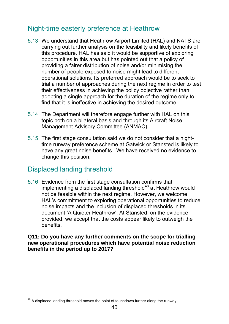# <span id="page-39-0"></span>Night-time easterly preference at Heathrow

- 5.13 We understand that Heathrow Airport Limited (HAL) and NATS are carrying out further analysis on the feasibility and likely benefits of this procedure. HAL has said it would be supportive of exploring opportunities in this area but has pointed out that a policy of providing a fairer distribution of noise and/or minimising the number of people exposed to noise might lead to different operational solutions. Its preferred approach would be to seek to trial a number of approaches during the next regime in order to test their effectiveness in achieving the policy objective rather than adopting a single approach for the duration of the regime only to find that it is ineffective in achieving the desired outcome.
- 5.14 The Department will therefore engage further with HAL on this topic both on a bilateral basis and through its Aircraft Noise Management Advisory Committee (ANMAC).
- 5.15 The first stage consultation said we do not consider that a nighttime runway preference scheme at Gatwick or Stansted is likely to have any great noise benefits. We have received no evidence to change this position.

## <span id="page-39-1"></span>Displaced landing threshold

5.16 Evidence from the first stage consultation confirms that implementing a displaced landing threshold $48$  at Heathrow would not be feasible within the next regime. However, we welcome HAL's commitment to exploring operational opportunities to reduce noise impacts and the inclusion of displaced thresholds in its document 'A Quieter Heathrow'. At Stansted, on the evidence provided, we accept that the costs appear likely to outweigh the benefits.

#### **Q11: Do you have any further comments on the scope for trialling new operational procedures which have potential noise reduction benefits in the period up to 2017?**

<span id="page-39-2"></span><sup>-</sup> $48$  A displaced landing threshold moves the point of touchdown further along the runway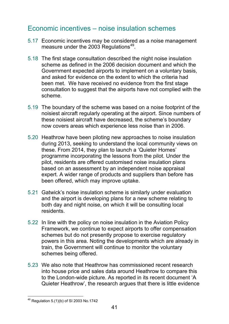# <span id="page-40-0"></span>Economic incentives – noise insulation schemes

- 5.17 Economic incentives may be considered as a noise management measure under the  $2003$  Regulations<sup>49</sup>.
- 5.18 The first stage consultation described the night noise insulation scheme as defined in the 2006 decision document and which the Government expected airports to implement on a voluntary basis, and asked for evidence on the extent to which the criteria had been met. We have received no evidence from the first stage consultation to suggest that the airports have not complied with the scheme.
- 5.19 The boundary of the scheme was based on a noise footprint of the noisiest aircraft regularly operating at the airport. Since numbers of these noisiest aircraft have decreased, the scheme's boundary now covers areas which experience less noise than in 2006.
- 5.20 Heathrow have been piloting new approaches to noise insulation during 2013, seeking to understand the local community views on these. From 2014, they plan to launch a 'Quieter Homes' programme incorporating the lessons from the pilot. Under the pilot, residents are offered customised noise insulation plans based on an assessment by an independent noise appraisal expert. A wider range of products and suppliers than before has been offered, which may improve uptake.
- 5.21 Gatwick's noise insulation scheme is similarly under evaluation and the airport is developing plans for a new scheme relating to both day and night noise, on which it will be consulting local residents.
- 5.22 In line with the policy on noise insulation in the Aviation Policy Framework, we continue to expect airports to offer compensation schemes but do not presently propose to exercise regulatory powers in this area. Noting the developments which are already in train, the Government will continue to monitor the voluntary schemes being offered.
- 5.23 We also note that Heathrow has commissioned recent research into house price and sales data around Heathrow to compare this to the London-wide picture. As reported in its recent document 'A Quieter Heathrow', the research argues that there is little evidence

<span id="page-40-1"></span><sup>-</sup> $49$  Regulation 5.(1)(b) of SI 2003 No.1742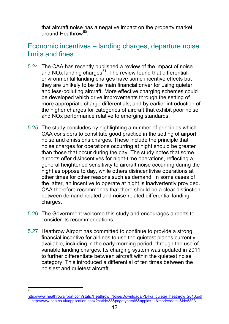that aircraft noise has a negative impact on the property market around Heathrow<sup>50</sup>

## <span id="page-41-0"></span>Economic incentives – landing charges, departure noise limits and fines

- 5.24 The CAA has recently published a review of the impact of noise and NOx landing charges $51$ . The review found that differential environmental landing charges have some incentive effects but they are unlikely to be the main financial driver for using quieter and less-polluting aircraft. More effective charging schemes could be developed which drive improvements through the setting of more appropriate charge differentials, and by earlier introduction of the higher charges for categories of aircraft that exhibit poor noise and NOx performance relative to emerging standards.
- 5.25 The study concludes by highlighting a number of principles which CAA considers to constitute good practice in the setting of airport noise and emissions charges. These include the principle that noise charges for operations occurring at night should be greater than those that occur during the day. The study notes that some airports offer disincentives for night-time operations, reflecting a general heightened sensitivity to aircraft noise occurring during the night as oppose to day, while others disincentivise operations at other times for other reasons such as demand. In some cases of the latter, an incentive to operate at night is inadvertently provided. CAA therefore recommends that there should be a clear distinction between demand-related and noise-related differential landing charges.
- 5.26 The Government welcome this study and encourages airports to consider its recommendations.
- 5.27 Heathrow Airport has committed to continue to provide a strong financial incentive for airlines to use the quietest planes currently available, including in the early morning period, through the use of variable landing charges. Its charging system was updated in 2011 to further differentiate between aircraft within the quietest noise category. This introduced a differential of ten times between the noisiest and quietest aircraft.

 $\frac{1}{50}$ 

<span id="page-41-2"></span><span id="page-41-1"></span>http://www.heathrowairport.com/static/Heathrow\_Noise/Downloads/PDF/a\_quieter\_heathrow\_2013.pdf<br><sup>51</sup> http://www.caa.co.uk/application.aspx?catid=33&pagetype=65&appid=11&mode=detail&id=5803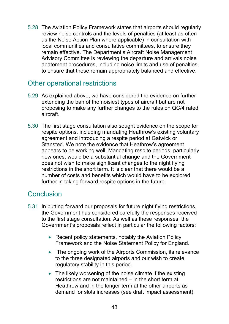5.28 The Aviation Policy Framework states that airports should regularly review noise controls and the levels of penalties (at least as often as the Noise Action Plan where applicable) in consultation with local communities and consultative committees, to ensure they remain effective. The Department's Aircraft Noise Management Advisory Committee is reviewing the departure and arrivals noise abatement procedures, including noise limits and use of penalties, to ensure that these remain appropriately balanced and effective.

## <span id="page-42-0"></span>Other operational restrictions

- 5.29 As explained above, we have considered the evidence on further extending the ban of the noisiest types of aircraft but are not proposing to make any further changes to the rules on QC/4 rated aircraft.
- 5.30 The first stage consultation also sought evidence on the scope for respite options, including mandating Heathrow's existing voluntary agreement and introducing a respite period at Gatwick or Stansted. We note the evidence that Heathrow's agreement appears to be working well. Mandating respite periods, particularly new ones, would be a substantial change and the Government does not wish to make significant changes to the night flying restrictions in the short term. It is clear that there would be a number of costs and benefits which would have to be explored further in taking forward respite options in the future.

## <span id="page-42-1"></span>**Conclusion**

- 5.31 In putting forward our proposals for future night flying restrictions, the Government has considered carefully the responses received to the first stage consultation. As well as these responses, the Government's proposals reflect in particular the following factors:
	- Recent policy statements, notably the Aviation Policy Framework and the Noise Statement Policy for England.
	- The ongoing work of the Airports Commission, its relevance to the three designated airports and our wish to create regulatory stability in this period.
	- The likely worsening of the noise climate if the existing restrictions are not maintained – in the short term at Heathrow and in the longer term at the other airports as demand for slots increases (see draft impact assessment).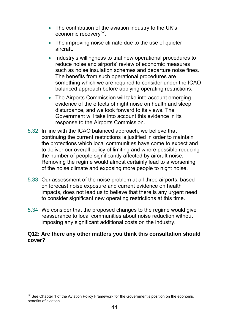- The contribution of the aviation industry to the UK's economic recovery<sup>52</sup>.
- The improving noise climate due to the use of quieter aircraft.
- Industry's willingness to trial new operational procedures to reduce noise and airports' review of economic measures such as noise insulation schemes and departure noise fines. The benefits from such operational procedures are something which we are required to consider under the ICAO balanced approach before applying operating restrictions.
- The Airports Commission will take into account emerging evidence of the effects of night noise on health and sleep disturbance, and we look forward to its views. The Government will take into account this evidence in its response to the Airports Commission.
- 5.32 In line with the ICAO balanced approach, we believe that continuing the current restrictions is justified in order to maintain the protections which local communities have come to expect and to deliver our overall policy of limiting and where possible reducing the number of people significantly affected by aircraft noise. Removing the regime would almost certainly lead to a worsening of the noise climate and exposing more people to night noise.
- 5.33 Our assessment of the noise problem at all three airports, based on forecast noise exposure and current evidence on health impacts, does not lead us to believe that there is any urgent need to consider significant new operating restrictions at this time.
- 5.34 We consider that the proposed changes to the regime would give reassurance to local communities about noise reduction without imposing any significant additional costs on the industry.

#### **Q12: Are there any other matters you think this consultation should cover?**

<span id="page-43-0"></span><sup>-</sup> $52$  See Chapter 1 of the Aviation Policy Framework for the Government's position on the economic benefits of aviation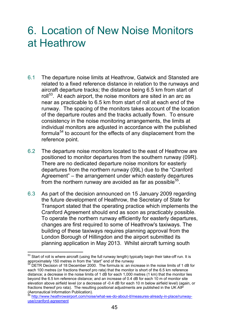# <span id="page-44-0"></span>6. Location of New Noise Monitors at Heathrow

- 6.1 The departure noise limits at Heathrow, Gatwick and Stansted are related to a fixed reference distance in relation to the runways and aircraft departure tracks; the distance being 6.5 km from start of roll<sup>[53](#page-44-1)</sup>. At each airport, the noise monitors are sited in an arc as near as practicable to 6.5 km from start of roll at each end of the runway. The spacing of the monitors takes account of the location of the departure routes and the tracks actually flown. To ensure consistency in the noise monitoring arrangements, the limits at individual monitors are adjusted in accordance with the published formula<sup>[54](#page-44-2)</sup> to account for the effects of any displacement from the reference point.
- 6.2 The departure noise monitors located to the east of Heathrow are positioned to monitor departures from the southern runway (09R). There are no dedicated departure noise monitors for easterly departures from the northern runway (09L) due to the "Cranford Agreement" – the arrangement under which easterly departures from the northern runway are avoided as far as possible<sup>55</sup>.
- 6.3 As part of the decision announced on 15 January 2009 regarding the future development of Heathrow, the Secretary of State for Transport stated that the operating practice which implements the Cranford Agreement should end as soon as practicably possible. To operate the northern runway efficiently for easterly departures, changes are first required to some of Heathrow's taxiways. The building of these taxiways requires planning approval from the London Borough of Hillingdon and the airport submitted its planning application in May 2013. Whilst aircraft turning south

<span id="page-44-1"></span> $\overline{a}$  $^{53}$  Start of roll is where aircraft (using the full runway length) typically begin their take-off run. It is approximately 150 metres in from the "start" end of the runway

<span id="page-44-2"></span>DETR Decision of 18 December 2000. The formula is: an increase in the noise limits of 1 dB for each 100 metres (or fractions thereof pro rata) that the monitor is short of the 6.5 km reference distance; a decrease in the noise limits of 1 dB for each 1,000 metres (1 km) that the monitor lies beyond the 6.5 km reference distance; and an increase of 0.4 dB for each 10 m of monitor site elevation above airfield level (or a decrease of -0.4 dB for each 10 m below airfield level) (again, or fractions thereof pro rata). The resulting positional adjustments are published in the UK AIP (Aeronautical Information Publication).

<span id="page-44-3"></span><sup>&</sup>lt;sup>55</sup> http://www.heathrowairport.com/noise/what-we-do-about-it/measures-already-in-place/runwayuse/cranford-agreement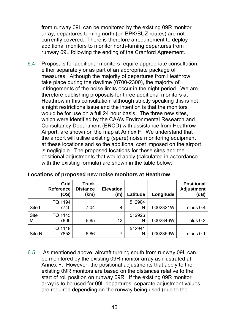from runway 09L can be monitored by the existing 09R monitor array, departures turning north (on BPK/BUZ routes) are not currently covered. There is therefore a requirement to deploy additional monitors to monitor north-turning departures from runway 09L following the ending of the Cranford Agreement.

6.4 Proposals for additional monitors require appropriate consultation, either separately or as part of an appropriate package of measures. Although the majority of departures from Heathrow take place during the daytime (0700-2300), the majority of infringements of the noise limits occur in the night period. We are therefore publishing proposals for three additional monitors at Heathrow in this consultation, although strictly speaking this is not a night restrictions issue and the intention is that the monitors would be for use on a full 24 hour basis. The three new sites, which were identified by the CAA's Environmental Research and Consultancy Department (ERCD) with assistance from Heathrow Airport, are shown on the map at Annex F. We understand that the airport will utilise existing (spare) noise monitoring equipment at these locations and so the additional cost imposed on the airport is negligible. The proposed locations for these sites and the positional adjustments that would apply (calculated in accordance with the existing formula) are shown in the table below:

|             | Grid<br><b>Reference</b><br>(OS) | <b>Track</b><br><b>Distance</b><br>(km) | <b>Elevation</b><br>(m) | Latitude | Longitude | <b>Positional</b><br><b>Adjustment</b><br>(dB) |
|-------------|----------------------------------|-----------------------------------------|-------------------------|----------|-----------|------------------------------------------------|
|             | TQ 1194                          |                                         |                         | 512904   |           |                                                |
| Site L      | 7740                             | 7.04                                    | 4                       | Ν        | 0002321W  | minus 0.4                                      |
| <b>Site</b> | TQ 1145                          |                                         |                         | 512926   |           |                                                |
| M           | 7806                             | 6.85                                    | 13                      | Ν        | 0002346W  | plus 0.2                                       |
|             | TQ 1119                          |                                         |                         | 512941   |           |                                                |
| Site N      | 7853                             | 6.86                                    | 7                       | Ν        | 0002359W  | minus 0.1                                      |

| Locations of proposed new noise monitors at Heathrow |  |  |  |
|------------------------------------------------------|--|--|--|
|------------------------------------------------------|--|--|--|

6.5 As mentioned above, aircraft turning south from runway 09L can be monitored by the existing 09R monitor array as illustrated at Annex F. However, the positional adjustments that apply to the existing 09R monitors are based on the distances relative to the start of roll position on runway 09R. If the existing 09R monitor array is to be used for 09L departures, separate adjustment values are required depending on the runway being used (due to the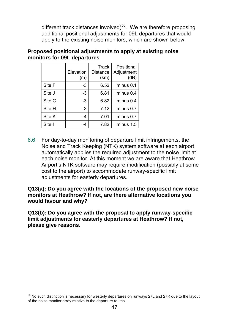different track distances involved)<sup>[56](#page-46-0)</sup>. We are therefore proposing additional positional adjustments for 09L departures that would apply to the existing noise monitors, which are shown below.

|        | Elevation<br>(m) | Track<br><b>Distance</b><br>(km) | Positional<br>Adjustment<br>(dB) |
|--------|------------------|----------------------------------|----------------------------------|
| Site F | -3               | 6.52                             | minus 0.1                        |
| Site J | -3               | 6.81                             | minus 0.4                        |
| Site G | -3               | 6.82                             | minus 0.4                        |
| Site H | -3               | 7.12                             | minus 0.7                        |
| Site K | $-4$             | 7.01                             | minus 0.7                        |
| Site I | -4               | 7.82                             | minus 1.5                        |

#### **Proposed positional adjustments to apply at existing noise monitors for 09L departures**

6.6 For day-to-day monitoring of departure limit infringements, the Noise and Track Keeping (NTK) system software at each airport automatically applies the required adjustment to the noise limit at each noise monitor. At this moment we are aware that Heathrow Airport's NTK software may require modification (possibly at some cost to the airport) to accommodate runway-specific limit adjustments for easterly departures.

**Q13(a): Do you agree with the locations of the proposed new noise monitors at Heathrow? If not, are there alternative locations you would favour and why?** 

**Q13(b): Do you agree with the proposal to apply runway-specific limit adjustments for easterly departures at Heathrow? If not, please give reasons.** 

<span id="page-46-0"></span> $\overline{a}$  $56$  No such distinction is necessary for westerly departures on runways 27L and 27R due to the layout of the noise monitor array relative to the departure routes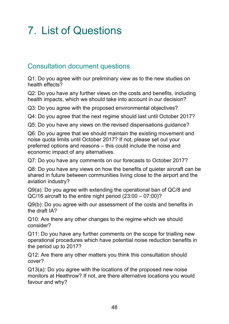# <span id="page-47-0"></span>7. List of Questions

## <span id="page-47-1"></span>Consultation document questions

Q1: Do you agree with our preliminary view as to the new studies on health effects?

Q2: Do you have any further views on the costs and benefits, including health impacts, which we should take into account in our decision?

Q3: Do you agree with the proposed environmental objectives?

Q4: Do you agree that the next regime should last until October 2017?

Q5: Do you have any views on the revised dispensations guidance?

Q6: Do you agree that we should maintain the existing movement and noise quota limits until October 2017? If not, please set out your preferred options and reasons – this could include the noise and economic impact of any alternatives.

Q7: Do you have any comments on our forecasts to October 2017?

Q8: Do you have any views on how the benefits of quieter aircraft can be shared in future between communities living close to the airport and the aviation industry?

Q9(a): Do you agree with extending the operational ban of QC/8 and QC/16 aircraft to the entire night period (23:00 – 07:00)?

Q9(b): Do you agree with our assessment of the costs and benefits in the draft IA?

Q10: Are there any other changes to the regime which we should consider?

Q11: Do you have any further comments on the scope for trialling new operational procedures which have potential noise reduction benefits in the period up to 2017?

Q12: Are there any other matters you think this consultation should cover?

Q13(a): Do you agree with the locations of the proposed new noise monitors at Heathrow? If not, are there alternative locations you would favour and why?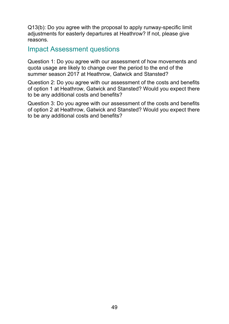Q13(b): Do you agree with the proposal to apply runway-specific limit adjustments for easterly departures at Heathrow? If not, please give reasons.

### <span id="page-48-0"></span>Impact Assessment questions

Question 1: Do you agree with our assessment of how movements and quota usage are likely to change over the period to the end of the summer season 2017 at Heathrow, Gatwick and Stansted?

Question 2: Do you agree with our assessment of the costs and benefits of option 1 at Heathrow, Gatwick and Stansted? Would you expect there to be any additional costs and benefits?

Question 3: Do you agree with our assessment of the costs and benefits of option 2 at Heathrow, Gatwick and Stansted? Would you expect there to be any additional costs and benefits?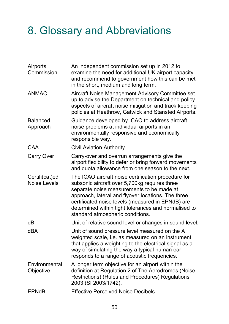# <span id="page-49-0"></span>8. Glossary and Abbreviations

| Airports<br>Commission                | An independent commission set up in 2012 to<br>examine the need for additional UK airport capacity<br>and recommend to government how this can be met<br>in the short, medium and long term.                                                                                                                                                             |
|---------------------------------------|----------------------------------------------------------------------------------------------------------------------------------------------------------------------------------------------------------------------------------------------------------------------------------------------------------------------------------------------------------|
| <b>ANMAC</b>                          | Aircraft Noise Management Advisory Committee set<br>up to advise the Department on technical and policy<br>aspects of aircraft noise mitigation and track keeping<br>policies at Heathrow, Gatwick and Stansted Airports.                                                                                                                                |
| <b>Balanced</b><br>Approach           | Guidance developed by ICAO to address aircraft<br>noise problems at individual airports in an<br>environmentally responsive and economically<br>responsible way.                                                                                                                                                                                         |
| <b>CAA</b>                            | Civil Aviation Authority.                                                                                                                                                                                                                                                                                                                                |
| Carry Over                            | Carry-over and overrun arrangements give the<br>airport flexibility to defer or bring forward movements<br>and quota allowance from one season to the next.                                                                                                                                                                                              |
| Certifi(cat)ed<br><b>Noise Levels</b> | The ICAO aircraft noise certification procedure for<br>subsonic aircraft over 5,700kg requires three<br>separate noise measurements to be made at<br>approach, lateral and flyover locations. The three<br>certificated noise levels (measured in EPNdB) are<br>determined within tight tolerances and normalised to<br>standard atmospheric conditions. |
| dB                                    | Unit of relative sound level or changes in sound level.                                                                                                                                                                                                                                                                                                  |
| <b>dBA</b>                            | Unit of sound pressure level measured on the A<br>weighted scale, i.e. as measured on an instrument<br>that applies a weighting to the electrical signal as a<br>way of simulating the way a typical human ear<br>responds to a range of acoustic frequencies.                                                                                           |
| Environmental<br>Objective            | A longer term objective for an airport within the<br>definition at Regulation 2 of The Aerodromes (Noise<br>Restrictions) (Rules and Procedures) Regulations<br>2003 (SI 2003/1742).                                                                                                                                                                     |
| <b>EPNdB</b>                          | <b>Effective Perceived Noise Decibels.</b>                                                                                                                                                                                                                                                                                                               |
|                                       |                                                                                                                                                                                                                                                                                                                                                          |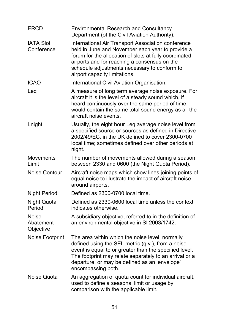| <b>ERCD</b>                            | <b>Environmental Research and Consultancy</b><br>Department (of the Civil Aviation Authority).                                                                                                                                                                                                    |
|----------------------------------------|---------------------------------------------------------------------------------------------------------------------------------------------------------------------------------------------------------------------------------------------------------------------------------------------------|
| <b>IATA Slot</b><br>Conference         | International Air Transport Association conference<br>held in June and November each year to provide a<br>forum for the allocation of slots at fully coordinated<br>airports and for reaching a consensus on the<br>schedule adjustments necessary to conform to<br>airport capacity limitations. |
| <b>ICAO</b>                            | International Civil Aviation Organisation.                                                                                                                                                                                                                                                        |
| Leq                                    | A measure of long term average noise exposure. For<br>aircraft it is the level of a steady sound which, if<br>heard continuously over the same period of time,<br>would contain the same total sound energy as all the<br>aircraft noise events.                                                  |
| Lnight                                 | Usually, the eight hour Leq average noise level from<br>a specified source or sources as defined in Directive<br>2002/49/EC, in the UK defined to cover 2300-0700<br>local time; sometimes defined over other periods at<br>night.                                                                |
| <b>Movements</b><br>Limit              | The number of movements allowed during a season<br>between 2330 and 0600 (the Night Quota Period).                                                                                                                                                                                                |
| <b>Noise Contour</b>                   | Aircraft noise maps which show lines joining points of<br>equal noise to illustrate the impact of aircraft noise<br>around airports.                                                                                                                                                              |
| <b>Night Period</b>                    | Defined as 2300-0700 local time.                                                                                                                                                                                                                                                                  |
| Night Quota<br>Period                  | Defined as 2330-0600 local time unless the context<br>indicates otherwise.                                                                                                                                                                                                                        |
| <b>Noise</b><br>Abatement<br>Objective | A subsidiary objective, referred to in the definition of<br>an environmental objective in SI 2003/1742.                                                                                                                                                                                           |
| <b>Noise Footprint</b>                 | The area within which the noise level, normally<br>defined using the SEL metric (q.v.), from a noise<br>event is equal to or greater than the specified level.<br>The footprint may relate separately to an arrival or a<br>departure, or may be defined as an 'envelope'<br>encompassing both.   |
| <b>Noise Quota</b>                     | An aggregation of quota count for individual aircraft,<br>used to define a seasonal limit or usage by<br>comparison with the applicable limit.                                                                                                                                                    |